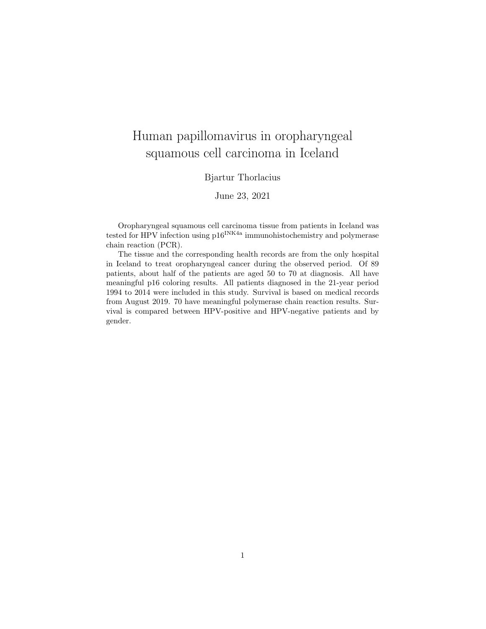# Human papillomavirus in oropharyngeal squamous cell carcinoma in Iceland

#### Bjartur Thorlacius

June 23, 2021

Oropharyngeal squamous cell carcinoma tissue from patients in Iceland was tested for HPV infection using  $p16^{INK4a}$  immunohistochemistry and polymerase chain reaction (PCR).

The tissue and the corresponding health records are from the only hospital in Iceland to treat oropharyngeal cancer during the observed period. Of 89 patients, about half of the patients are aged 50 to 70 at diagnosis. All have meaningful p16 coloring results. All patients diagnosed in the 21-year period 1994 to 2014 were included in this study. Survival is based on medical records from August 2019. 70 have meaningful polymerase chain reaction results. Survival is compared between HPV-positive and HPV-negative patients and by gender.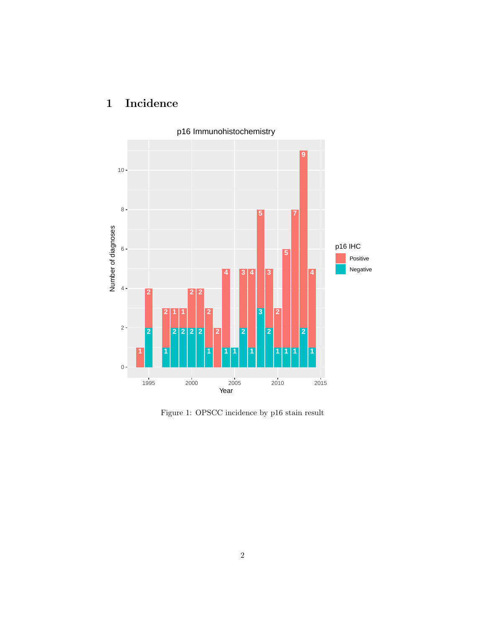

## 1 Incidence

Figure 1: OPSCC incidence by p16 stain result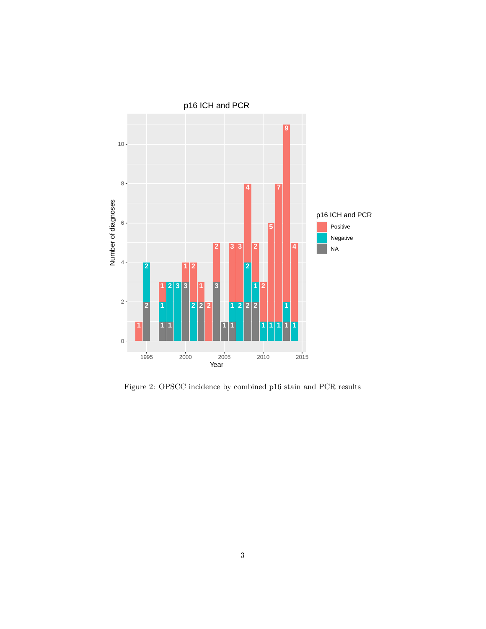

Figure 2: OPSCC incidence by combined p16 stain and PCR results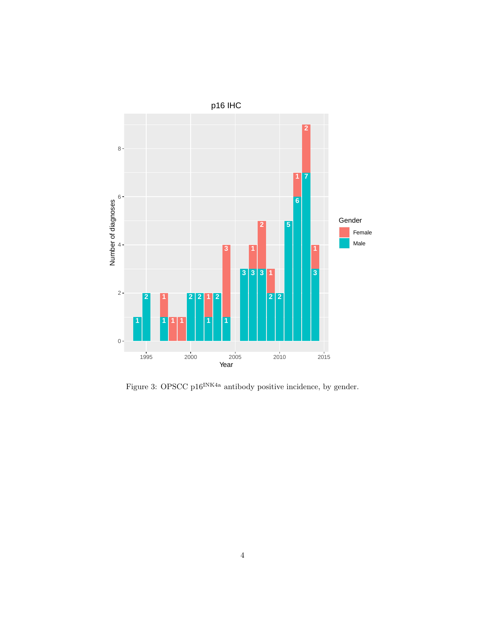

Figure 3: OPSCC p16<sup>INK4a</sup> antibody positive incidence, by gender.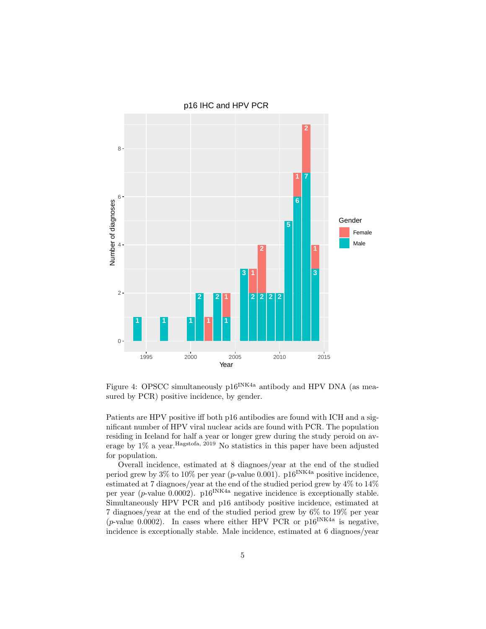

Figure 4: OPSCC simultaneously  $p16^{INK4a}$  antibody and HPV DNA (as measured by PCR) positive incidence, by gender.

Patients are HPV positive iff both p16 antibodies are found with ICH and a significant number of HPV viral nuclear acids are found with PCR. The population residing in Iceland for half a year or longer grew during the study peroid on average by 1% a year.Hagstofa, 2019 No statistics in this paper have been adjusted for population.

Overall incidence, estimated at 8 diagnoes/year at the end of the studied period grew by 3% to 10% per year (p-value 0.001).  $p16^{INK4a}$  positive incidence, estimated at 7 diagnoes/year at the end of the studied period grew by 4% to 14% per year (p-value 0.0002).  $p16^{INK4a}$  negative incidence is exceptionally stable. Simultaneously HPV PCR and p16 antibody positive incidence, estimated at 7 diagnoes/year at the end of the studied period grew by 6% to 19% per year (*p*-value 0.0002). In cases where either HPV PCR or  $p16^{INK4a}$  is negative, incidence is exceptionally stable. Male incidence, estimated at 6 diagnoes/year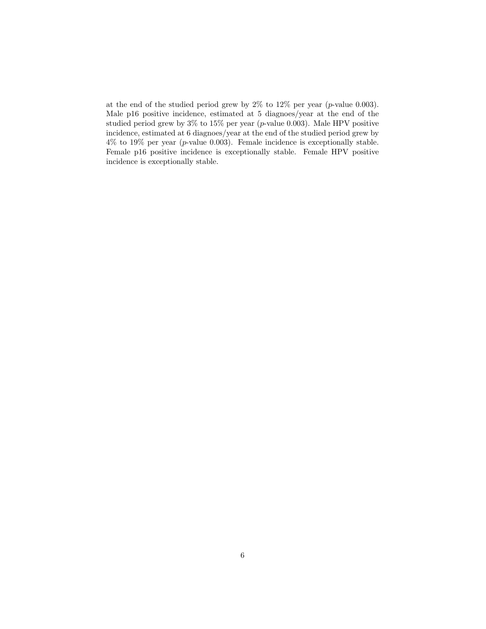at the end of the studied period grew by  $2\%$  to  $12\%$  per year (*p*-value 0.003). Male p16 positive incidence, estimated at 5 diagnoes/year at the end of the studied period grew by 3% to 15% per year (p-value 0.003). Male HPV positive incidence, estimated at 6 diagnoes/year at the end of the studied period grew by 4% to 19% per year (p-value 0.003). Female incidence is exceptionally stable. Female p16 positive incidence is exceptionally stable. Female HPV positive incidence is exceptionally stable.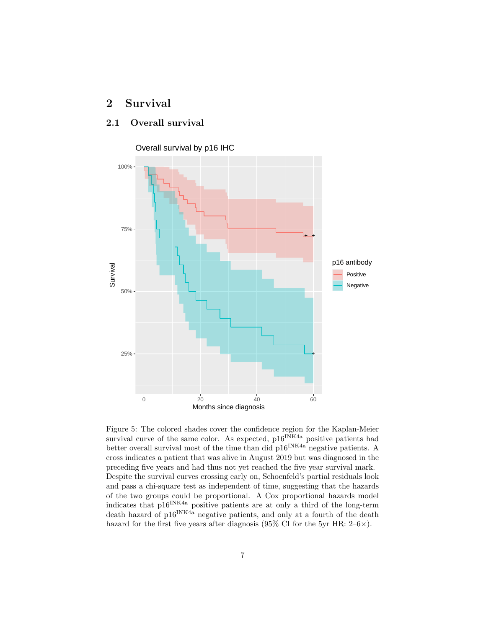## 2 Survival

#### 2.1 Overall survival



Figure 5: The colored shades cover the confidence region for the Kaplan-Meier survival curve of the same color. As expected,  $p16^{INK4a}$  positive patients had better overall survival most of the time than did  $p16^{INK4a}$  negative patients. A cross indicates a patient that was alive in August 2019 but was diagnosed in the preceding five years and had thus not yet reached the five year survival mark. Despite the survival curves crossing early on, Schoenfeld's partial residuals look and pass a chi-square test as independent of time, suggesting that the hazards of the two groups could be proportional. A Cox proportional hazards model indicates that  $p16^{INK4a}$  positive patients are at only a third of the long-term death hazard of p16<sup>INK4a</sup> negative patients, and only at a fourth of the death hazard for the first five years after diagnosis (95% CI for the 5yr HR:  $2-6\times$ ).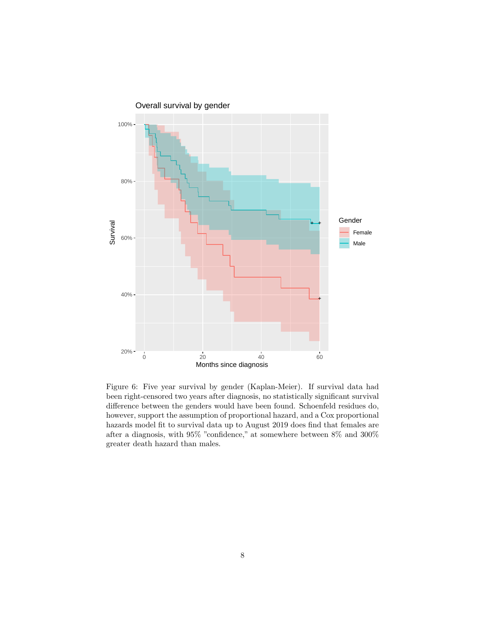

Figure 6: Five year survival by gender (Kaplan-Meier). If survival data had been right-censored two years after diagnosis, no statistically significant survival difference between the genders would have been found. Schoenfeld residues do, however, support the assumption of proportional hazard, and a Cox proportional hazards model fit to survival data up to August 2019 does find that females are after a diagnosis, with 95% "confidence," at somewhere between 8% and 300% greater death hazard than males.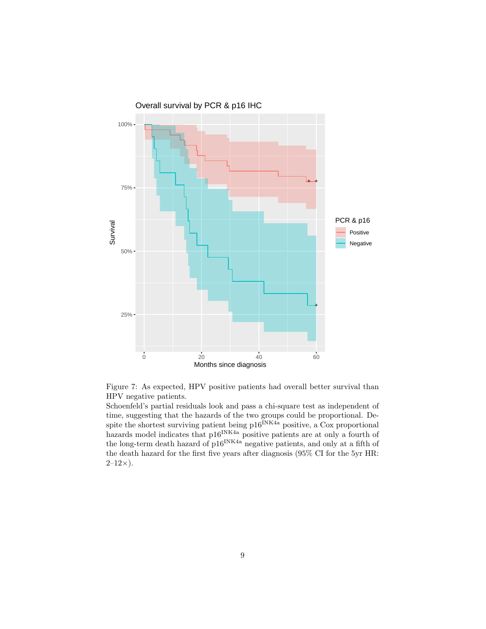

Figure 7: As expected, HPV positive patients had overall better survival than HPV negative patients.

Schoenfeld's partial residuals look and pass a chi-square test as independent of time, suggesting that the hazards of the two groups could be proportional. Despite the shortest surviving patient being  $p16^{INK4a}$  positive, a Cox proportional hazards model indicates that p16<sup>INK4a</sup> positive patients are at only a fourth of the long-term death hazard of  $16^{1}$ <sup>INK4a</sup> negative patients, and only at a fifth of the death hazard for the first five years after diagnosis (95% CI for the 5yr HR:  $2-12\times$ ).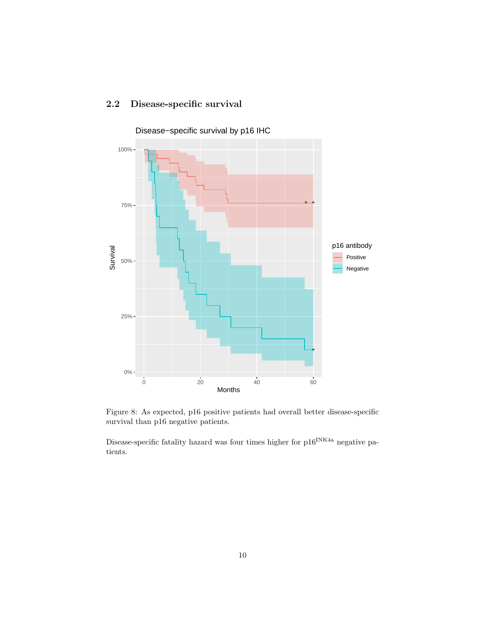#### 2.2 Disease-specific survival



Disease−specific survival by p16 IHC

Figure 8: As expected, p16 positive patients had overall better disease-specific survival than p16 negative patients.

Disease-specific fatality hazard was four times higher for  $p16^{INK4a}$  negative patients.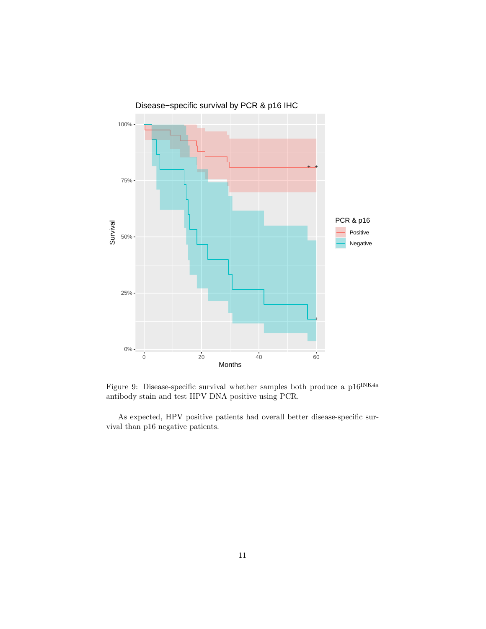

Figure 9: Disease-specific survival whether samples both produce a  $\rm p16^{INK4a}$ antibody stain and test HPV DNA positive using PCR.

As expected, HPV positive patients had overall better disease-specific survival than p16 negative patients.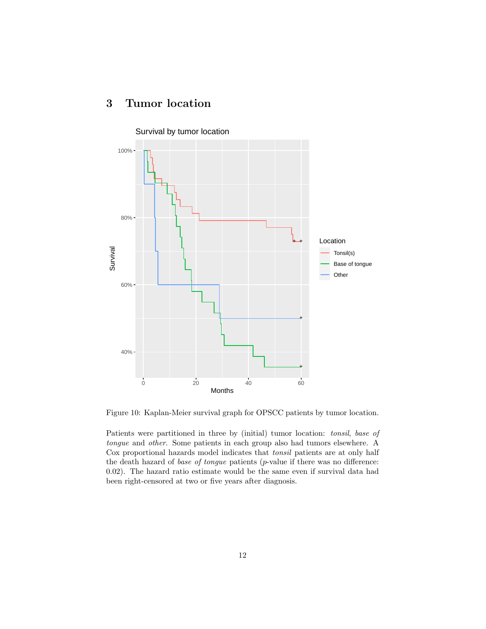## 3 Tumor location



Figure 10: Kaplan-Meier survival graph for OPSCC patients by tumor location.

Patients were partitioned in three by (initial) tumor location: tonsil, base of tongue and other. Some patients in each group also had tumors elsewhere. A Cox proportional hazards model indicates that tonsil patients are at only half the death hazard of base of tongue patients (p-value if there was no difference: 0.02). The hazard ratio estimate would be the same even if survival data had been right-censored at two or five years after diagnosis.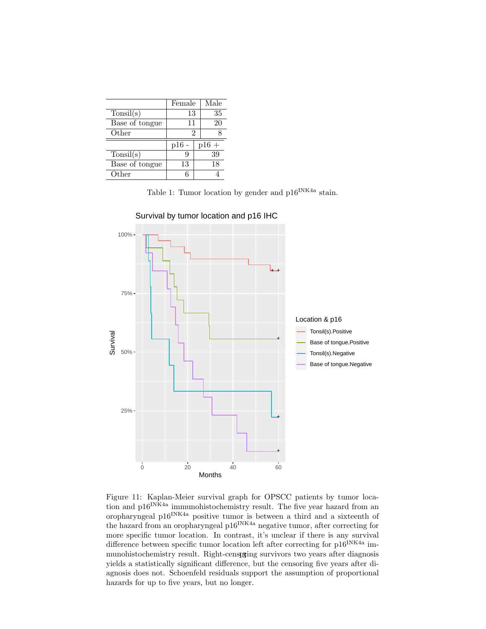|                | Female |  | Male   |
|----------------|--------|--|--------|
| Tonsil(s)      | 13     |  | 35     |
| Base of tongue | 11     |  | 20     |
| Other          | 2      |  |        |
|                |        |  |        |
|                | p16    |  | $p16+$ |
| Tonsil(s)      | 9      |  | 39     |
| Base of tongue | 13     |  | 18     |

Table 1: Tumor location by gender and  $p16^{INK4a}$  stain.



Figure 11: Kaplan-Meier survival graph for OPSCC patients by tumor location and p16<sup>INK4a</sup> immunohistochemistry result. The five year hazard from an oropharyngeal p16<sup>INK4a</sup> positive tumor is between a third and a sixteenth of the hazard from an oropharyngeal p16INK4a negative tumor, after correcting for more specific tumor location. In contrast, it's unclear if there is any survival difference between specific tumor location left after correcting for  $p16^{INK4a}$  immunohistochemistry result. Right-censpring survivors two years after diagnosis yields a statistically significant difference, but the censoring five years after diagnosis does not. Schoenfeld residuals support the assumption of proportional hazards for up to five years, but no longer.

Survival by tumor location and p16 IHC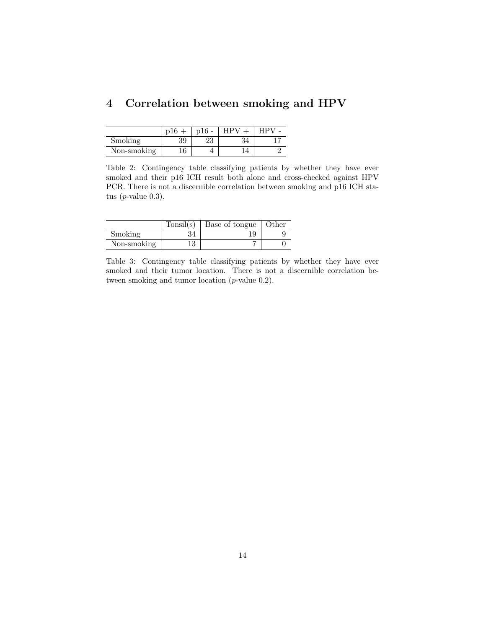|  | 4 Correlation between smoking and HPV |  |  |  |  |  |
|--|---------------------------------------|--|--|--|--|--|
|--|---------------------------------------|--|--|--|--|--|

|             | n16 | p16<br>$\overline{\phantom{a}}$ |    |  |
|-------------|-----|---------------------------------|----|--|
| Smoking     | 39  | ഹ<br>∠⊌                         | ĐЧ |  |
| Non-smoking | ΙU  |                                 |    |  |

Table 2: Contingency table classifying patients by whether they have ever smoked and their p16 ICH result both alone and cross-checked against HPV PCR. There is not a discernible correlation between smoking and p16 ICH status  $(p$ -value 0.3 $)$ .

|             | Tonsil(s) | Base of tongue | Other |
|-------------|-----------|----------------|-------|
| Smoking     |           |                |       |
| Non-smoking | Τŋ        |                |       |

Table 3: Contingency table classifying patients by whether they have ever smoked and their tumor location. There is not a discernible correlation between smoking and tumor location (*p*-value 0.2).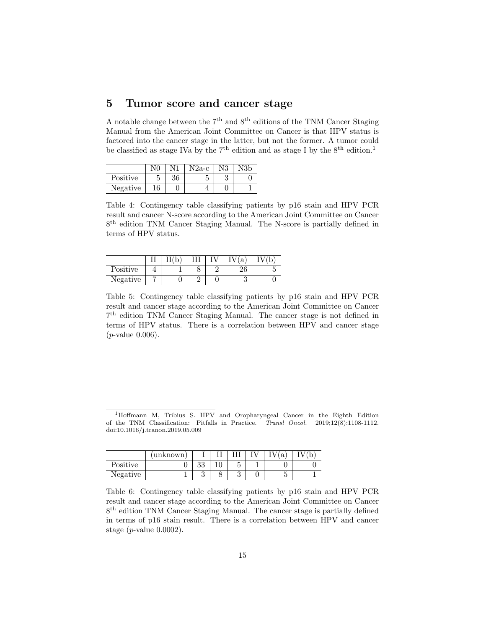### 5 Tumor score and cancer stage

A notable change between the  $7<sup>th</sup>$  and  $8<sup>th</sup>$  editions of the TNM Cancer Staging Manual from the American Joint Committee on Cancer is that HPV status is factored into the cancer stage in the latter, but not the former. A tumor could be classified as stage IVa by the  $7<sup>th</sup>$  edition and as stage I by the  $8<sup>th</sup>$  edition.<sup>1</sup>

|          |    |    | N2a-c |  |
|----------|----|----|-------|--|
| Positive |    | 36 |       |  |
| Negative | 16 |    |       |  |

Table 4: Contingency table classifying patients by p16 stain and HPV PCR result and cancer N-score according to the American Joint Committee on Cancer 8<sup>th</sup> edition TNM Cancer Staging Manual. The N-score is partially defined in terms of HPV status.

|          | ົ |  | a  |  |
|----------|---|--|----|--|
| Positive |   |  | ⊿∪ |  |
| Negative |   |  |    |  |

Table 5: Contingency table classifying patients by p16 stain and HPV PCR result and cancer stage according to the American Joint Committee on Cancer 7 th edition TNM Cancer Staging Manual. The cancer stage is not defined in terms of HPV status. There is a correlation between HPV and cancer stage  $(p$ -value  $0.006)$ .

<sup>1</sup>Hoffmann M, Tribius S. HPV and Oropharyngeal Cancer in the Eighth Edition of the TNM Classification: Pitfalls in Practice. Transl Oncol. 2019;12(8):1108-1112. doi:10.1016/j.tranon.2019.05.009

|          | unknown |          |                            | a |  |
|----------|---------|----------|----------------------------|---|--|
| Positive |         | ററ<br>ಀಀ | $\tilde{\phantom{a}}$<br>U |   |  |
| Negative |         | υ        | ິ<br>U                     |   |  |

Table 6: Contingency table classifying patients by p16 stain and HPV PCR result and cancer stage according to the American Joint Committee on Cancer 8<sup>th</sup> edition TNM Cancer Staging Manual. The cancer stage is partially defined in terms of p16 stain result. There is a correlation between HPV and cancer stage  $(p$ -value  $0.0002$ ).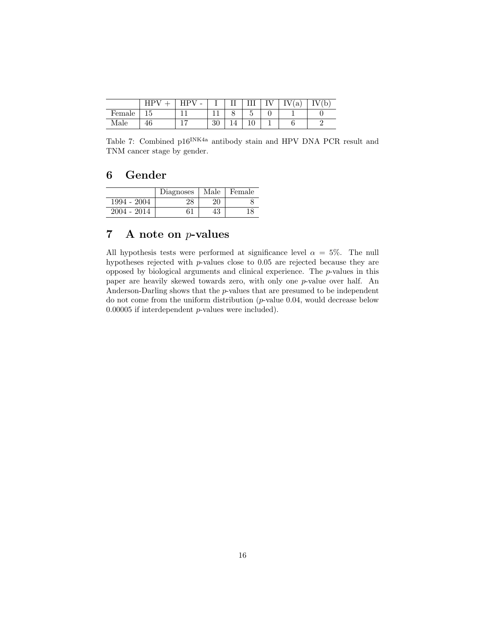|        |    | $\overline{\phantom{a}}$ |                | ⊥⊥              |                      | a | ◡ |
|--------|----|--------------------------|----------------|-----------------|----------------------|---|---|
| Female | ŦΩ |                          |                |                 | ۰                    |   |   |
| Male   | 40 |                          | $\Omega$<br>υG | $\mathbf{\tau}$ | ᅩ<br>$\cdot$ $\cdot$ |   |   |

Table 7: Combined p16<sup>INK4a</sup> antibody stain and HPV DNA PCR result and TNM cancer stage by gender.

#### 6 Gender

|               | Diagnoses | Male     | Female |
|---------------|-----------|----------|--------|
| 1994 - 2004   |           | 20       |        |
| $2004 - 2014$ | 61        | 79<br>ΨO | 8ء     |

## 7 A note on p-values

All hypothesis tests were performed at significance level  $\alpha = 5\%$ . The null hypotheses rejected with p-values close to 0.05 are rejected because they are opposed by biological arguments and clinical experience. The p-values in this paper are heavily skewed towards zero, with only one p-value over half. An Anderson-Darling shows that the  $p$ -values that are presumed to be independent do not come from the uniform distribution (p-value 0.04, would decrease below 0.00005 if interdependent p-values were included).